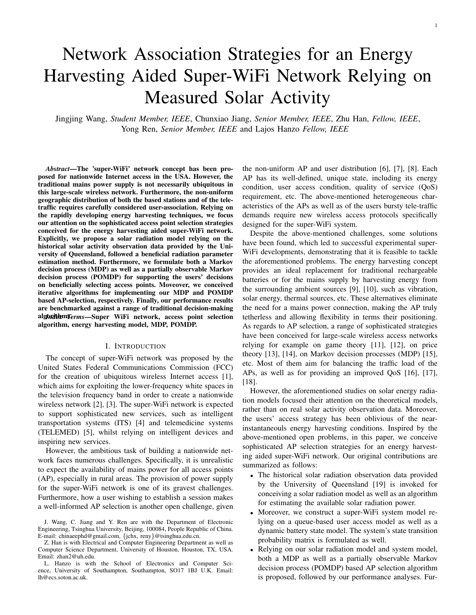# Network Association Strategies for an Energy Harvesting Aided Super-WiFi Network Relying on Measured Solar Activity

Jingjing Wang, *Student Member, IEEE*, Chunxiao Jiang, *Senior Member, IEEE*, Zhu Han, *Fellow, IEEE*, Yong Ren, *Senior Member, IEEE* and Lajos Hanzo *Fellow, IEEE*

*Abstract*—The 'super-WiFi' network concept has been proposed for nationwide Internet access in the USA. However, the traditional mains power supply is not necessarily ubiquitous in this large-scale wireless network. Furthermore, the non-uniform geographic distribution of both the based stations and of the teletraffic requires carefully considered user-association. Relying on the rapidly developing energy harvesting techniques, we focus our attention on the sophisticated access point selection strategies conceived for the energy harvesting aided super-WiFi network. Explicitly, we propose a solar radiation model relying on the historical solar activity observation data provided by the University of Queensland, followed a beneficial radiation parameter estimation method. Furthermore, we formulate both a Markov decision process (MDP) as well as a partially observable Markov decision process (POMDP) for supporting the users' decisions on beneficially selecting access points. Moveover, we conceived iterative algorithms for implementing our MDP and POMDP based AP-selection, respectively. Finally, our performance results are benchmarked against a range of traditional decision-making algorithms<sub>erms</sub>-Super WiFi network, access point selection algorithm, energy harvesting model, MDP, POMDP.

## I. INTRODUCTION

The concept of super-WiFi network was proposed by the United States Federal Communications Commission (FCC) for the creation of ubiquitous wireless Internet access [1], which aims for exploiting the lower-frequency white spaces in the television frequency band in order to create a nationwide wireless network [2], [3]. The super-WiFi network is expected to support sophisticated new services, such as intelligent transportation systems (ITS) [4] and telemedicine systems (TELEMED) [5], whilst relying on intelligent devices and inspiring new services.

However, the ambitious task of building a nationwide network faces numerous challenges. Specifically, it is unrealistic to expect the availability of mains power for all access points (AP), especially in rural areas. The provision of power supply for the super-WiFi network is one of its gravest challenges. Furthermore, how a user wishing to establish a session makes a well-informed AP selection is another open challenge, given the non-uniform AP and user distribution [6], [7], [8]. Each AP has its well-defined, unique state, including its energy condition, user access condition, quality of service (QoS) requirement, etc. The above-mentioned heterogeneous characteristics of the APs as well as of the users bursty tele-traffic demands require new wireless access protocols specifically designed for the super-WiFi system.

Despite the above-mentioned challenges, some solutions have been found, which led to successful experimental super-WiFi developments, demonstrating that it is feasible to tackle the aforementioned problems. The energy harvesting concept provides an ideal replacement for traditional rechargeable batteries or for the mains supply by harvesting energy from the surrounding ambient sources [9], [10], such as vibration, solar energy, thermal sources, etc. These alternatives eliminate the need for a mains power connection, making the AP truly tetherless and allowing flexibility in terms their positioning. As regards to AP selection, a range of sophisticated strategies have been conceived for large-scale wireless access networks relying for example on game theory [11], [12], on price theory [13], [14], on Markov decision processes (MDP) [15], etc. Most of them aim for balancing the traffic load of the APs, as well as for providing an improved QoS [16], [17], [18].

However, the aforementioned studies on solar energy radiation models focused their attention on the theoretical models, rather than on real solar activity observation data. Moreover, the users' access strategy has been oblivious of the nearinstantaneouls energy harvesting conditions. Inspired by the above-mentioned open problems, in this paper, we conceive sophisticated AP selection strategies for an energy harvesting aided super-WiFi network. Our original contributions are summarized as follows:

- The historical solar radiation observation data provided by the University of Queensland [19] is invoked for conceiving a solar radiation model as well as an algorithm for estimating the available solar radiation power.
- Moreover, we construct a super-WiFi system model relying on a queue-based user access model as well as a dynamic battery state model. The system's state transition probability matrix is formulated as well.
- Relying on our solar radiation model and system model, both a MDP as well as a partially observable Markov decision process (POMDP) based AP selection algorithm is proposed, followed by our performance analyses. Fur-

J. Wang, C. Jiang and Y. Ren are with the Department of Electronic Engineering, Tsinghua University, Beijing, 100084, People Republic of China. E-mail: chinaeephd@gmail.com, {jchx, reny}@tsinghua.edu.cn.

Z. Han is with Electrical and Computer Engineering Department as well as Computer Science Department, University of Houston, Houston, TX, USA. Email: zhan2@uh.edu.

L. Hanzo is with the School of Electronics and Computer Science, University of Southampton, Southampton, SO17 1BJ U.K. Email: lh@ecs.soton.ac.uk.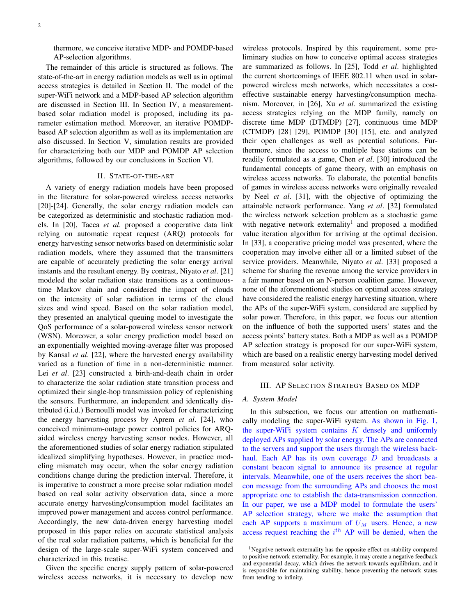thermore, we conceive iterative MDP- and POMDP-based AP-selection algorithms.

The remainder of this article is structured as follows. The state-of-the-art in energy radiation models as well as in optimal access strategies is detailed in Section II. The model of the super-WiFi network and a MDP-based AP selection algorithm are discussed in Section III. In Section IV, a measurementbased solar radiation model is proposed, including its parameter estimation method. Moreover, an iterative POMDPbased AP selection algorithm as well as its implementation are also discussed. In Section V, simulation results are provided for characterizing both our MDP and POMDP AP selection algorithms, followed by our conclusions in Section VI.

#### II. STATE-OF-THE-ART

A variety of energy radiation models have been proposed in the literature for solar-powered wireless access networks [20]-[24]. Generally, the solar energy radiation models can be categorized as deterministic and stochastic radiation models. In [20], Tacca *et al*. proposed a cooperative data link relying on automatic repeat request (ARQ) protocols for energy harvesting sensor networks based on deterministic solar radiation models, where they assumed that the transmitters are capable of accurately predicting the solar energy arrival instants and the resultant energy. By contrast, Niyato *et al*. [21] modeled the solar radiation state transitions as a continuoustime Markov chain and considered the impact of clouds on the intensity of solar radiation in terms of the cloud sizes and wind speed. Based on the solar radiation model, they presented an analytical queuing model to investigate the QoS performance of a solar-powered wireless sensor network (WSN). Moreover, a solar energy prediction model based on an exponentially weighted moving-average filter was proposed by Kansal *et al*. [22], where the harvested energy availability varied as a function of time in a non-deterministic manner. Lei *et al*. [23] constructed a birth-and-death chain in order to characterize the solar radiation state transition process and optimized their single-hop transmission policy of replenishing the sensors. Furthermore, an independent and identically distributed (i.i.d.) Bernoulli model was invoked for characterizing the energy harvesting process by Aprem *et al*. [24], who conceived minimum-outage power control policies for ARQaided wireless energy harvesting sensor nodes. However, all the aforementioned studies of solar energy radiation stipulated idealized simplifying hypotheses. However, in practice modeling mismatch may occur, when the solar energy radiation conditions change during the prediction interval. Therefore, it is imperative to construct a more precise solar radiation model based on real solar activity observation data, since a more accurate energy harvesting/consumption model facilitates an improved power management and access control performance. Accordingly, the new data-driven energy harvesting model proposed in this paper relies on accurate statistical analysis of the real solar radiation patterns, which is beneficial for the design of the large-scale super-WiFi system conceived and characterized in this treatise.

Given the specific energy supply pattern of solar-powered wireless access networks, it is necessary to develop new wireless protocols. Inspired by this requirement, some preliminary studies on how to conceive optimal access strategies are summarized as follows. In [25], Todd *et al*. highlighted the current shortcomings of IEEE 802.11 when used in solarpowered wireless mesh networks, which necessitates a costeffective sustainable energy harvesting/consumption mechanism. Moreover, in [26], Xu *et al*. summarized the existing access strategies relying on the MDP family, namely on discrete time MDP (DTMDP) [27], continuous time MDP (CTMDP) [28] [29], POMDP [30] [15], etc. and analyzed their open challenges as well as potential solutions. Furthermore, since the access to multiple base stations can be readily formulated as a game, Chen *et al*. [30] introduced the fundamental concepts of game theory, with an emphasis on wireless access networks. To elaborate, the potential benefits of games in wireless access networks were originally revealed by Neel *et al*. [31], with the objective of optimizing the attainable network performance. Yang *et al*. [32] formulated the wireless network selection problem as a stochastic game with negative network externality<sup>1</sup> and proposed a modified value iteration algorithm for arriving at the optimal decision. In [33], a cooperative pricing model was presented, where the cooperation may involve either all or a limited subset of the service providers. Meanwhile, Niyato *et al*. [33] proposed a scheme for sharing the revenue among the service providers in a fair manner based on an N-person coalition game. However, none of the aforementioned studies on optimal access strategy have considered the realistic energy harvesting situation, where the APs of the super-WiFi system, considered are supplied by solar power. Therefore, in this paper, we focus our attention on the influence of both the supported users' states and the access points' battery states. Both a MDP as well as a POMDP AP selection strategy is proposed for our super-WiFi system, which are based on a realistic energy harvesting model derived from measured solar activity.

#### III. AP SELECTION STRATEGY BASED ON MDP

## *A. System Model*

In this subsection, we focus our attention on mathematically modeling the super-WiFi system. As shown in Fig. 1, the super-WiFi system contains  $K$  densely and uniformly deployed APs supplied by solar energy. The APs are connected to the servers and support the users through the wireless backhaul. Each AP has its own coverage D and broadcasts a constant beacon signal to announce its presence at regular intervals. Meanwhile, one of the users receives the short beacon message from the surrounding APs and chooses the most appropriate one to establish the data-transmission connection. In our paper, we use a MDP model to formulate the users' AP selection strategy, where we make the assumption that each AP supports a maximum of  $U_M$  users. Hence, a new access request reaching the  $i^{th}$  AP will be denied, when the

<sup>&</sup>lt;sup>1</sup>Negative network externality has the opposite effect on stability compared to positive network externality. For example, it may create a negative feedback and exponential decay, which drives the network towards equilibrium, and it is responsible for maintaining stability, hence preventing the network states from tending to infinity.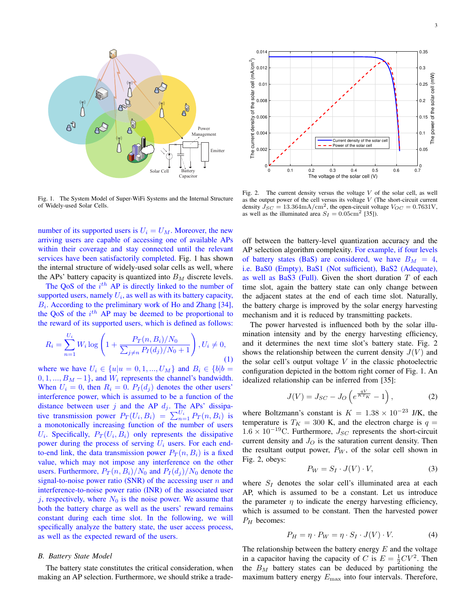

Fig. 1. The System Model of Super-WiFi Systems and the Internal Structure of Widely-used Solar Cells.

number of its supported users is  $U_i = U_M$ . Moreover, the new arriving users are capable of accessing one of available APs within their coverage and stay connected until the relevant services have been satisfactorily completed. Fig. 1 has shown the internal structure of widely-used solar cells as well, where the APs' battery capacity is quantized into  $B_M$  discrete levels.

The QoS of the  $i^{th}$  AP is directly linked to the number of supported users, namely  $U_i$ , as well as with its battery capacity,  $B_i$ . According to the preliminary work of Ho and Zhang [34], the QoS of the  $i^{th}$  AP may be deemed to be proportional to the reward of its supported users, which is defined as follows:

$$
R_i = \sum_{n=1}^{U_i} W_i \log \left( 1 + \frac{P_T(n, B_i)/N_0}{\sum_{j \neq n} P_I(d_j)/N_0 + 1} \right), U_i \neq 0,
$$
\n(1)

where we have  $U_i \in \{u|u = 0, 1, ..., U_M\}$  and  $B_i \in \{b|b =$  $0, 1, ..., B<sub>M</sub> - 1$ , and  $W<sub>i</sub>$  represents the channel's bandwidth. When  $U_i = 0$ , then  $R_i = 0$ .  $P_I(d_i)$  denotes the other users' interference power, which is assumed to be a function of the distance between user j and the AP  $d_j$ . The APs' dissipative transmission power  $P_T(U_i, B_i) = \sum_{n=1}^{U_i} P_T(n, B_i)$  is a monotonically increasing function of the number of users  $U_i$ . Specifically,  $P_T(U_i, B_i)$  only represents the dissipative power during the process of serving  $U_i$  users. For each endto-end link, the data transmission power  $P_T(n, B_i)$  is a fixed value, which may not impose any interference on the other users. Furthermore,  $P_T(n, B_i)/N_0$  and  $P_I(d_i)/N_0$  denote the signal-to-noise power ratio (SNR) of the accessing user  $n$  and interference-to-noise power ratio (INR) of the associated user j, respectively, where  $N_0$  is the noise power. We assume that both the battery charge as well as the users' reward remains constant during each time slot. In the following, we will specifically analyze the battery state, the user access process, as well as the expected reward of the users.

## *B. Battery State Model*

The battery state constitutes the critical consideration, when making an AP selection. Furthermore, we should strike a trade-



Fig. 2. The current density versus the voltage  $V$  of the solar cell, as well as the output power of the cell versus its voltage  $V$  (The short-circuit current density  $J_{SC} = 13.364 \text{mA/cm}^2$ , the open-circuit voltage  $V_{OC} = 0.7631 \text{V}$ , as well as the illuminated area  $S_I = 0.05 \text{cm}^2$  [35]).

off between the battery-level quantization accuracy and the AP selection algorithm complexity. For example, if four levels of battery states (BaS) are considered, we have  $B_M = 4$ , i.e. BaS0 (Empty), BaS1 (Not sufficient), BaS2 (Adequate), as well as BaS3 (Full). Given the short duration  $T$  of each time slot, again the battery state can only change between the adjacent states at the end of each time slot. Naturally, the battery charge is improved by the solar energy harvesting mechanism and it is reduced by transmitting packets.

The power harvested is influenced both by the solar illumination intensity and by the energy harvesting efficiency, and it determines the next time slot's battery state. Fig. 2 shows the relationship between the current density  $J(V)$  and the solar cell's output voltage  $V$  in the classic photoelectric configuration depicted in the bottom right corner of Fig. 1. An idealized relationship can be inferred from [35]:

$$
J(V) = J_{SC} - J_O \left( e^{\frac{qV}{KT_K}} - 1 \right),\tag{2}
$$

where Boltzmann's constant is  $K = 1.38 \times 10^{-23}$  J/K, the temperature is  $T_K = 300$  K, and the electron charge is  $q =$  $1.6 \times 10^{-19}$ C. Furthermore,  $J_{SC}$  represents the short-circuit current density and  $J<sub>O</sub>$  is the saturation current density. Then the resultant output power,  $P_W$ , of the solar cell shown in Fig. 2, obeys:

$$
P_W = S_I \cdot J(V) \cdot V,\tag{3}
$$

where  $S_I$  denotes the solar cell's illuminated area at each AP, which is assumed to be a constant. Let us introduce the parameter  $\eta$  to indicate the energy harvesting efficiency, which is assumed to be constant. Then the harvested power  $P_H$  becomes:

$$
P_H = \eta \cdot P_W = \eta \cdot S_I \cdot J(V) \cdot V. \tag{4}
$$

The relationship between the battery energy  $E$  and the voltage in a capacitor having the capacity of C is  $E = \frac{1}{2}CV^2$ . Then the  $B_M$  battery states can be deduced by partitioning the maximum battery energy  $E_{\text{max}}$  into four intervals. Therefore,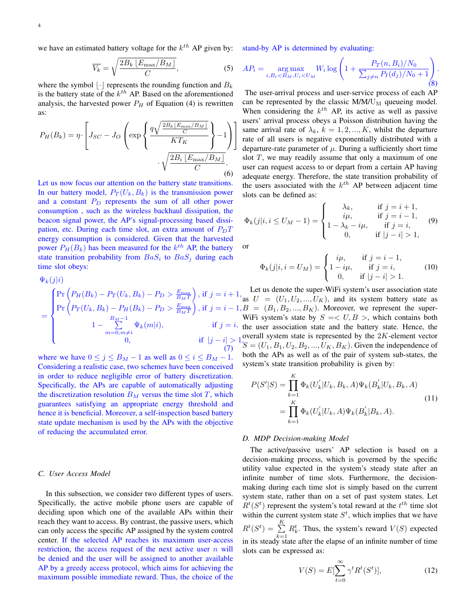we have an estimated battery voltage for the  $k^{th}$  AP given by: stand-by AP is determined by evaluating:

$$
\overline{V_k} = \sqrt{\frac{2B_k \left[ E_{\text{max}} / B_M \right]}{C}},\tag{5}
$$

where the symbol  $\lfloor \cdot \rfloor$  represents the rounding function and  $B_k$ is the battery state of the  $k^{th}$  AP. Based on the aforementioned analysis, the harvested power  $P_H$  of Equation (4) is rewritten as:

$$
P_H(B_k) = \eta \cdot \left[ J_{SC} - J_O \left( \exp\left\{ \frac{q \sqrt{\frac{2B_k \left[ E_{\text{max}} / B_M \right]}{C}} }{KT_K} \right\} - 1 \right) \right]
$$

$$
\sqrt{\frac{2B_i \left[ E_{\text{max}} / B_M \right]}{C}}.
$$
(6)

Let us now focus our attention on the battery state transitions. In our battery model,  $P_T(U_k, B_k)$  is the transmission power and a constant  $P_D$  represents the sum of all other power consumption , such as the wireless backhaul dissipation, the beacon signal power, the AP's signal-processing based dissipation, etc. During each time slot, an extra amount of  $P_D T$ energy consumption is considered. Given that the harvested power  $P_H(B_k)$  has been measured for the  $k^{th}$  AP, the battery state transition probability from  $BaS_i$  to  $BaS_j$  during each time slot obeys:

$$
\Psi_{k}(j|i) = \begin{cases}\n\Pr\left(P_{H}(B_{k}) - P_{T}(U_{k}, B_{k}) - P_{D} > \frac{E_{\max}}{B_{M}T}\right), \text{ if } j = i + 1, \\
\Pr\left(P_{T}(U_{k}, B_{k}) - P_{H}(B_{k}) - P_{D} > \frac{E_{\max}}{B_{M}T}\right), \text{ if } j = i - 1, \\
1 - \sum_{m=0, m \neq i}^{B_{M} - 1} \Psi_{k}(m|i), & \text{ if } j = i, \\
0, & \text{ if } |j - i| > 1, \\
(7). & (9) \end{cases}
$$

where we have  $0 \le j \le B_M - 1$  as well as  $0 \le i \le B_M - 1$ . Considering a realistic case, two schemes have been conceived in order to reduce negligible error of battery discretization. Specifically, the APs are capable of automatically adjusting the discretization resolution  $B_M$  versus the time slot T, which guarantees satisfying an appropriate energy threshold and hence it is beneficial. Moreover, a self-inspection based battery state update mechanism is used by the APs with the objective of reducing the accumulated error.

## *C. User Access Model*

In this subsection, we consider two different types of users. Specifically, the active mobile phone users are capable of deciding upon which one of the available APs within their reach they want to access. By contrast, the passive users, which can only access the specific AP assigned by the system control center. If the selected AP reaches its maximum user-access restriction, the access request of the next active user  $n$  will be denied and the user will be assigned to another available AP by a greedy access protocol, which aims for achieving the maximum possible immediate reward. Thus, the choice of the

$$
AP_i = \underset{i, B_i < B_M, U_i < U_M}{\arg \max} W_i \log \left( 1 + \frac{P_T(n, B_i)/N_0}{\sum_{j \neq n} P_I(d_j)/N_0 + 1} \right). \tag{8}
$$

The user-arrival process and user-service process of each AP can be represented by the classic  $M/M/U_M$  queueing model. When considering the  $k^{th}$  AP, its active as well as passive users' arrival process obeys a Poisson distribution having the same arrival rate of  $\lambda_k$ ,  $k = 1, 2, ..., K$ , whilst the departure rate of all users is negative exponentially distributed with a departure-rate parameter of  $\mu$ . During a sufficiently short time slot  $T$ , we may readily assume that only a maximum of one user can request access to or depart from a certain AP having adequate energy. Therefore, the state transition probability of the users associated with the  $k^{th}$  AP between adjacent time slots can be defined as:

$$
\Phi_k(j|i, i \le U_M - 1) = \begin{cases}\n\lambda_k, & \text{if } j = i + 1, \\
i\mu, & \text{if } j = i - 1, \\
1 - \lambda_k - i\mu, & \text{if } j = i, \\
0, & \text{if } |j - i| > 1,\n\end{cases}
$$
(9)

or

$$
\Phi_k(j|i, i = U_M) = \begin{cases} i\mu, & \text{if } j = i - 1, \\ 1 - i\mu, & \text{if } j = i, \\ 0, & \text{if } |j - i| > 1. \end{cases}
$$
 (10)

Let us denote the super-WiFi system's user association state as  $U = (U_1, U_2, ..., U_K)$ , and its system battery state as  $B = (B_1, B_2, ..., B_K)$ . Moreover, we represent the super-WiFi system's state by  $S = < U, B >$ , which contains both the user association state and the battery state. Hence, the overall system state is represented by the  $2K$ -element vector  $S = (U_1, B_1, U_2, B_2, \dots, U_K, B_K)$ . Given the independence of both the APs as well as of the pair of system sub-states, the system's state transition probability is given by:

$$
P(S'|S) = \prod_{k=1}^{K} \Phi_k(U'_k|U_k, B_k, A)\Psi_k(B'_k|U_k, B_k, A)
$$
  
= 
$$
\prod_{k=1}^{K} \Phi_k(U'_k|U_k, A)\Psi_k(B'_k|B_k, A).
$$
 (11)

#### *D. MDP Decision-making Model*

The active/passive users' AP selection is based on a decision-making process, which is governed by the specific utility value expected in the system's steady state after an infinite number of time slots. Furthermore, the decisionmaking during each time slot is simply based on the current system state, rather than on a set of past system states. Let  $R^t(S^t)$  represent the system's total reward at the  $t^{th}$  time slot within the current system state  $S<sup>t</sup>$ , which implies that we have  $R^t(S^t) = \sum_{k=1}^{K} R_k^t$ . Thus, the system's reward  $V(S)$  expected in its steady state after the elapse of an infinite number of time slots can be expressed as:

$$
V(S) = E[\sum_{t=0}^{\infty} \gamma^t R^t(S^t)],\tag{12}
$$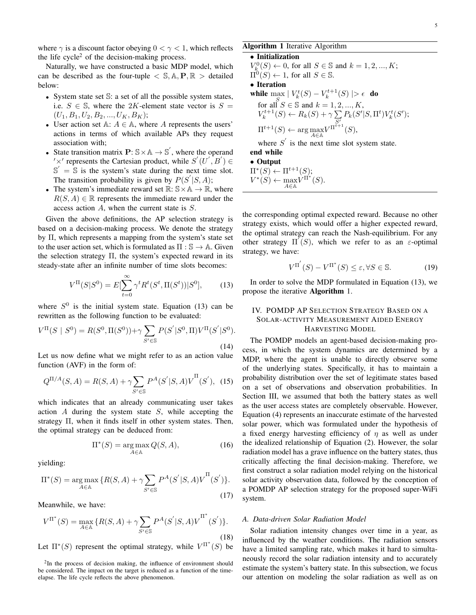where  $\gamma$  is a discount factor obeying  $0 < \gamma < 1$ , which reflects the life cycle<sup>2</sup> of the decision-making process.

Naturally, we have constructed a basic MDP model, which can be described as the four-tuple  $\langle S, A, P, \mathbb{R} \rangle$  detailed below:

- System state set S: a set of all the possible system states, i.e.  $S \in \mathbb{S}$ , where the 2K-element state vector is  $S =$  $(U_1, B_1, U_2, B_2, ..., U_K, B_K);$
- User action set  $A: A \in A$ , where A represents the users' actions in terms of which available APs they request association with;
- State transition matrix  $\mathbf{P} \colon \mathbb{S} \times \mathbb{A} \to \mathbb{S}'$ , where the operand  $\alpha' \times \beta'$  represents the Cartesian product, while  $S'(U', B') \in$  $S' = S$  is the system's state during the next time slot. The transition probability is given by  $P(S'|S, A)$ ;
- The system's immediate reward set  $\mathbb{R}$ :  $\mathbb{S} \times \mathbb{A} \to \mathbb{R}$ , where  $R(S, A) \in \mathbb{R}$  represents the immediate reward under the access action A, when the current state is S.

Given the above definitions, the AP selection strategy is based on a decision-making process. We denote the strategy by Π, which represents a mapping from the system's state set to the user action set, which is formulated as  $\Pi : \mathbb{S} \to \mathbb{A}$ . Given the selection strategy  $\Pi$ , the system's expected reward in its steady-state after an infinite number of time slots becomes:

$$
V^{\Pi}(S|S^{0}) = E[\sum_{t=0}^{\infty} \gamma^{t} R^{t}(S^{t}, \Pi(S^{t}))|S^{0}], \qquad (13)
$$

where  $S^0$  is the initial system state. Equation (13) can be rewritten as the following function to be evaluated:

$$
V^{\Pi}(S \mid S^{0}) = R(S^{0}, \Pi(S^{0})) + \gamma \sum_{S' \in \mathbb{S}} P(S' | S^{0}, \Pi) V^{\Pi}(S' | S^{0}).
$$
\n(14)

Let us now define what we might refer to as an action value function (AVF) in the form of:

$$
Q^{\Pi/A}(S,A) = R(S,A) + \gamma \sum_{S' \in \mathbb{S}} P^A(S'|S,A) V^{\Pi}(S'), \tag{15}
$$

which indicates that an already communicating user takes action  $A$  during the system state  $S$ , while accepting the strategy Π, when it finds itself in other system states. Then, the optimal strategy can be deduced from:

$$
\Pi^*(S) = \underset{A \in \mathbb{A}}{\text{arg}\max} Q(S, A),\tag{16}
$$

yielding:

$$
\Pi^*(S) = \underset{A \in \mathbb{A}}{\arg \max} \{ R(S, A) + \gamma \sum_{S' \in \mathbb{S}} P^A(S' | S, A) V^{\Pi}(S') \}. \tag{17}
$$

Meanwhile, we have:

$$
V^{\Pi^*}(S) = \max_{A \in \mathbb{A}} \{ R(S, A) + \gamma \sum_{S' \in \mathbb{S}} P^A(S' | S, A) V^{\Pi^*}(S') \}.
$$
\n(18)

Let  $\Pi^*(S)$  represent the optimal strategy, while  $V^{\Pi^*}(S)$  be

<sup>2</sup>In the process of decision making, the influence of environment should be considered. The impact on the target is reduced as a function of the timeelapse. The life cycle reflects the above phenomenon.

# Algorithm 1 Iterative Algorithm

 $V^*(S) \leftarrow \max_{A \in \mathbb{A}} V^{\Pi^*}(S).$ 

• Initialization  $V_k^0(S) \leftarrow 0$ , for all  $S \in \mathbb{S}$  and  $k = 1, 2, ..., K$ ;  $\Pi^0(S) \leftarrow 1$ , for all  $S \in \mathbb{S}$ . • Iteration while  $\max_{S} | V^t_k(S) - V^{t+1}_k(S) | > \epsilon$  do for all  $S \in \mathbb{S}$  and  $k = 1, 2, ..., K$ ,  $V_k^{t+1}(S) \leftarrow R_k(S) + \gamma \sum$  $\sum_{S'} P_k(S'|S,\Pi^t) V_k^t(S');$  $\Pi^{t+1}(S) \leftarrow \arg \max_{A \in \mathbb{A}} V^{\Pi^{t+1}}(S),$ where  $S'$  is the next time slot system state. end while • Output  $\Pi^*(S) \leftarrow \Pi^{t+1}(S);$ 

the corresponding optimal expected reward. Because no other strategy exists, which would offer a higher expected reward, the optimal strategy can reach the Nash-equilibrium. For any other strategy  $\overline{\Pi}(S)$ , which we refer to as an  $\varepsilon$ -optimal strategy, we have:

$$
V^{\Pi'}(S) - V^{\Pi^*}(S) \le \varepsilon, \forall S \in \mathbb{S}.
$$
 (19)

In order to solve the MDP formulated in Equation (13), we propose the iterative Algorithm 1.

# IV. POMDP AP SELECTION STRATEGY BASED ON A SOLAR-ACTIVITY MEASUREMENT AIDED ENERGY HARVESTING MODEL

The POMDP models an agent-based decision-making process, in which the system dynamics are determined by a MDP, where the agent is unable to directly observe some of the underlying states. Specifically, it has to maintain a probability distribution over the set of legitimate states based on a set of observations and observation probabilities. In Section III, we assumed that both the battery states as well as the user access states are completely observable. However, Equation (4) represents an inaccurate estimate of the harvested solar power, which was formulated under the hypothesis of a fixed energy harvesting efficiency of  $\eta$  as well as under the idealized relationship of Equation (2). However, the solar radiation model has a grave influence on the battery states, thus critically affecting the final decision-making. Therefore, we first construct a solar radiation model relying on the historical solar activity observation data, followed by the conception of a POMDP AP selection strategy for the proposed super-WiFi system.

#### *A. Data-driven Solar Radiation Model*

Solar radiation intensity changes over time in a year, as influenced by the weather conditions. The radiation sensors have a limited sampling rate, which makes it hard to simultaneously record the solar radiation intensity and to accurately estimate the system's battery state. In this subsection, we focus our attention on modeling the solar radiation as well as on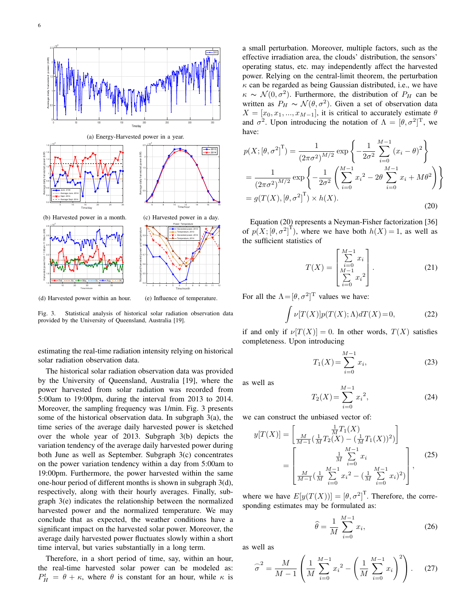

Fig. 3. Statistical analysis of historical solar radiation observation data provided by the University of Queensland, Australia [19].

estimating the real-time radiation intensity relying on historical solar radiation observation data.

The historical solar radiation observation data was provided by the University of Queensland, Australia [19], where the power harvested from solar radiation was recorded from 5:00am to 19:00pm, during the interval from 2013 to 2014. Moreover, the sampling frequency was 1/min. Fig. 3 presents some of the historical observation data. In subgraph 3(a), the time series of the average daily harvested power is sketched over the whole year of 2013. Subgraph 3(b) depicts the variation tendency of the average daily harvested power during both June as well as September. Subgraph 3(c) concentrates on the power variation tendency within a day from 5:00am to 19:00pm. Furthermore, the power harvested within the same one-hour period of different months is shown in subgraph 3(d), respectively, along with their hourly averages. Finally, subgraph 3(e) indicates the relationship between the normalized harvested power and the normalized temperature. We may conclude that as expected, the weather conditions have a significant impact on the harvested solar power. Moreover, the average daily harvested power fluctuates slowly within a short time interval, but varies substantially in a long term.

Therefore, in a short period of time, say, within an hour, the real-time harvested solar power can be modeled as:  $P_H^t = \theta + \kappa$ , where  $\theta$  is constant for an hour, while  $\kappa$  is a small perturbation. Moreover, multiple factors, such as the effective irradiation area, the clouds' distribution, the sensors' operating status, etc. may independently affect the harvested power. Relying on the central-limit theorem, the perturbation  $\kappa$  can be regarded as being Gaussian distributed, i.e., we have  $\kappa \sim \mathcal{N}(0, \sigma^2)$ . Furthermore, the distribution of  $P_H$  can be written as  $P_H \sim \mathcal{N}(\theta, \sigma^2)$ . Given a set of observation data  $X = [x_0, x_1, ..., x_{M-1}]$ , it is critical to accurately estimate  $\theta$ and  $\sigma^2$ . Upon introducing the notation of  $\Lambda = [\theta, \sigma^2]^T$ , we have:

$$
p(X; [\theta, \sigma^2]^{\mathrm{T}}) = \frac{1}{(2\pi\sigma^2)^{M/2}} \exp\left\{-\frac{1}{2\sigma^2} \sum_{i=0}^{M-1} (x_i - \theta)^2\right\}
$$
  
= 
$$
\frac{1}{(2\pi\sigma^2)^{M/2}} \exp\left\{-\frac{1}{2\sigma^2} \left(\sum_{i=0}^{M-1} x_i^2 - 2\theta \sum_{i=0}^{M-1} x_i + M\theta^2\right)\right\}
$$
  
= 
$$
g(T(X), [\theta, \sigma^2]^{\mathrm{T}}) \times h(X).
$$
 (20)

Equation (20) represents a Neyman-Fisher factorization [36] of  $p(X; [\theta, \sigma^2]^T)$ , where we have both  $h(X) = 1$ , as well as the sufficient statistics of

$$
T(X) = \begin{bmatrix} \sum_{i=0}^{M-1} x_i \\ \sum_{i=0}^{M-1} x_i^2 \end{bmatrix} .
$$
 (21)

For all the  $\Lambda = [\theta, \sigma^2]^T$  values we have:

$$
\int \nu[T(X)]p(T(X);\Lambda)dT(X) = 0,\t(22)
$$

if and only if  $\nu[T(X)] = 0$ . In other words,  $T(X)$  satisfies completeness. Upon introducing

$$
T_1(X) = \sum_{i=0}^{M-1} x_i,
$$
\n(23)

as well as

$$
T_2(X) = \sum_{i=0}^{M-1} x_i^2,
$$
 (24)

we can construct the unbiased vector of:

$$
y[T(X)] = \left[\frac{\frac{1}{M}T_1(X)}{\frac{1}{M-1}(\frac{1}{M}T_2(X) - (\frac{1}{M}T_1(X))^2)}\right]
$$
  
= 
$$
\left[\frac{\frac{1}{M}\sum_{i=0}^{M-1}x_i}{\frac{M-1}{M-1}(\frac{1}{M}\sum_{i=0}^{M-1}x_i^2 - (\frac{1}{M}\sum_{i=0}^{M-1}x_i)^2)}\right],
$$
(25)

where we have  $E[y(T(X))] = [\theta, \sigma^2]^T$ . Therefore, the corresponding estimates may be formulated as:

$$
\widehat{\theta} = \frac{1}{M} \sum_{i=0}^{M-1} x_i,
$$
\n(26)

as well as

$$
\widehat{\sigma}^2 = \frac{M}{M-1} \left( \frac{1}{M} \sum_{i=0}^{M-1} x_i^2 - \left( \frac{1}{M} \sum_{i=0}^{M-1} x_i \right)^2 \right). \tag{27}
$$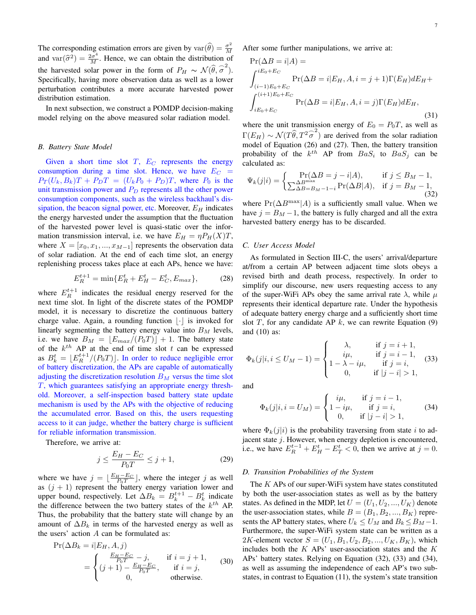The corresponding estimation errors are given by  $var(\widehat{\theta}) = \frac{\sigma^2}{M}$ M and  $\text{var}(\hat{\sigma}^2) = \frac{2\sigma^4}{M}$ . Hence, we can obtain the distribution of the harvested solar power in the form of  $P_H \sim \mathcal{N}(\hat{\theta}, \hat{\sigma}^2)$ . Specifically, having more observation data as well as a lower perturbation contributes a more accurate harvested power distribution estimation.

In next subsection, we construct a POMDP decision-making model relying on the above measured solar radiation model.

#### *B. Battery State Model*

Given a short time slot  $T$ ,  $E_C$  represents the energy consumption during a time slot. Hence, we have  $E_C$  =  $P_T(U_k, B_k)T + P_D T = (U_k P_0 + P_D)T$ , where  $P_0$  is the unit transmission power and  $P_D$  represents all the other power consumption components, such as the wireless backhaul's dissipation, the beacon signal power, etc. Moreover,  $E_H$  indicates the energy harvested under the assumption that the fluctuation of the harvested power level is quasi-static over the information transmission interval, i.e. we have  $E_H = \eta P_H(X)T$ , where  $X = [x_0, x_1, ..., x_{M-1}]$  represents the observation data of solar radiation. At the end of each time slot, an energy replenishing process takes place at each APs, hence we have:

$$
E_R^{t+1} = \min\{E_R^t + E_H^t - E_C^t, E_{max}\},\tag{28}
$$

where  $E_R^{t+1}$  indicates the residual energy reserved for the next time slot. In light of the discrete states of the POMDP model, it is necessary to discretize the continuous battery charge value. Again, a rounding function  $|\cdot|$  is invoked for linearly segmenting the battery energy value into  $B_M$  levels, i.e. we have  $B_M = \lfloor E_{max}/(P_0T) \rfloor + 1$ . The battery state of the  $k^{th}$  AP at the end of time slot t can be expressed as  $B_k^t = \lfloor E_R^{t+1}/(P_0T) \rfloor$ . In order to reduce negligible error of battery discretization, the APs are capable of automatically adjusting the discretization resolution  $B_M$  versus the time slot T, which guarantees satisfying an appropriate energy threshold. Moreover, a self-inspection based battery state update mechanism is used by the APs with the objective of reducing the accumulated error. Based on this, the users requesting access to it can judge, whether the battery charge is sufficient for reliable information transmission.

Therefore, we arrive at:

$$
j \le \frac{E_H - E_C}{P_0 T} \le j + 1,\tag{29}
$$

where we have  $j = \lfloor \frac{E_H - E_C}{P_0 T} \rfloor$ , where the integer j as well as  $(j + 1)$  represent the battery energy variation lower and upper bound, respectively. Let  $\Delta B_k = B_k^{t+1} - B_k^t$  indicate the difference between the two battery states of the  $k^{th}$  AP. Thus, the probability that the battery state will change by an amount of  $\Delta B_k$  in terms of the harvested energy as well as the users' action  $A$  can be formulated as:

$$
\Pr(\Delta B_k = i | E_H, A, j)
$$
\n
$$
= \begin{cases}\n\frac{E_H - E_C}{P_0 T} - j, & \text{if } i = j + 1, \\
(j + 1) - \frac{E_H - E_C}{P_0 T}, & \text{if } i = j, \\
0, & \text{otherwise.} \n\end{cases}
$$
\n(30)

After some further manipulations, we arrive at:

$$
\Pr(\Delta B = i | A) =
$$
\n
$$
\int_{(i-1)E_0 + E_C}^{iE_0 + E_C} \Pr(\Delta B = i | E_H, A, i = j + 1) \Gamma(E_H) dE_H +
$$
\n
$$
\int_{iE_0 + E_C}^{(i+1)E_0 + E_C} \Pr(\Delta B = i | E_H, A, i = j) \Gamma(E_H) dE_H,
$$
\n(31)

where the unit transmission energy of  $E_0 = P_0T$ , as well as  $\Gamma(E_H) \sim \mathcal{N}(T\hat{\theta}, T^2\hat{\sigma}^2)$  are derived from the solar radiation model of Equation (26) and (27). Then, the battery transition probability of the  $k^{th}$  AP from  $BaS_i$  to  $BaS_j$  can be calculated as:

$$
\Psi_k(j|i) = \begin{cases}\n\Pr(\Delta B = j - i|A), & \text{if } j \le B_M - 1, \\
\sum_{\Delta B = B_M - 1 - i}^{\Delta B^{\text{max}}} \Pr(\Delta B|A), & \text{if } j = B_M - 1, \\
(32)\n\end{cases}
$$

where  $Pr(\Delta B^{\text{max}}|A)$  is a sufficiently small value. When we have  $j = B<sub>M</sub> - 1$ , the battery is fully charged and all the extra harvested battery energy has to be discarded.

#### *C. User Access Model*

As formulated in Section III-C, the users' arrival/departure at/from a certain AP between adjacent time slots obeys a revised birth and death process, respectively. In order to simplify our discourse, new users requesting access to any of the super-WiFi APs obey the same arrival rate  $\lambda$ , while  $\mu$ represents their identical departure rate. Under the hypothesis of adequate battery energy charge and a sufficiently short time slot T, for any candidate AP  $k$ , we can rewrite Equation (9) and (10) as:

$$
\Phi_k(j|i, i \le U_M - 1) = \begin{cases}\n\lambda, & \text{if } j = i + 1, \\
i\mu, & \text{if } j = i - 1, \\
1 - \lambda - i\mu, & \text{if } j = i, \\
0, & \text{if } |j - i| > 1,\n\end{cases}
$$
(33)

and

$$
\Phi_k(j|i, i = U_M) = \begin{cases} i\mu, & \text{if } j = i - 1, \\ 1 - i\mu, & \text{if } j = i, \\ 0, & \text{if } |j - i| > 1, \end{cases}
$$
(34)

where  $\Phi_k(j|i)$  is the probability traversing from state i to adjacent state  $j$ . However, when energy depletion is encountered, i.e., we have  $E_R^{t-1} + E_H^t - E_T^t < 0$ , then we arrive at  $j = 0$ .

#### *D. Transition Probabilities of the System*

The  $K$  APs of our super-WiFi system have states constituted by both the user-association states as well as by the battery states. As defined in the MDP, let  $U = (U_1, U_2, ..., U_K)$  denote the user-association states, while  $B = (B_1, B_2, ..., B_K)$  represents the AP battery states, where  $U_k \leq U_M$  and  $B_k \leq B_M - 1$ . Furthermore, the super-WiFi system state can be written as a 2K-element vector  $S = (U_1, B_1, U_2, B_2, ..., U_K, B_K)$ , which includes both the  $K$  APs' user-association states and the  $K$ APs' battery states. Relying on Equation (32), (33) and (34), as well as assuming the independence of each AP's two substates, in contrast to Equation (11), the system's state transition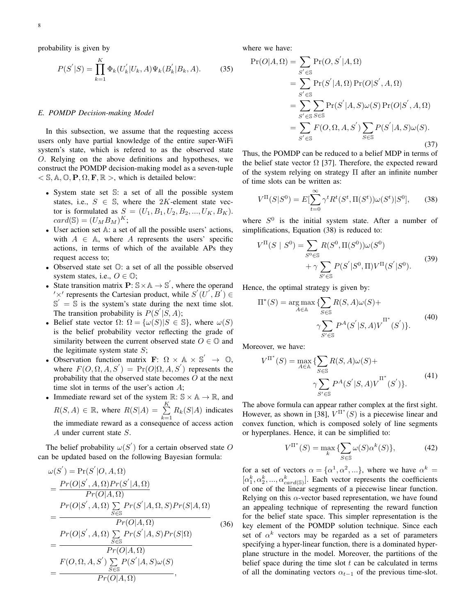probability is given by

$$
P(S'|S) = \prod_{k=1}^{K} \Phi_k(U'_k|U_k, A)\Psi_k(B'_k|B_k, A).
$$
 (35)

## *E. POMDP Decision-making Model*

In this subsection, we assume that the requesting access users only have partial knowledge of the entire super-WiFi system's state, which is refered to as the observed state O. Relying on the above definitions and hypotheses, we construct the POMDP decision-making model as a seven-tuple  $< \mathcal{S}, \mathbb{A}, \mathbb{O}, \mathbf{P}, \Omega, \mathbf{F}, \mathbb{R}$  >, which is detailed below:

- System state set S: a set of all the possible system states, i.e.,  $S \in \mathbb{S}$ , where the 2K-element state vector is formulated as  $S = (U_1, B_1, U_2, B_2, ..., U_K, B_K)$ .  $card(\mathbb{S}) = (U_M B_M)^K;$
- User action set A: a set of all the possible users' actions, with  $A \in A$ , where A represents the users' specific actions, in terms of which of the available APs they request access to;
- Observed state set O: a set of all the possible observed system states, i.e.,  $O \in \mathbb{O}$ ;
- State transition matrix  $\mathbf{P} : \mathbb{S} \times \mathbb{A} \to \mathbb{S}'$ , where the operand  $\alpha' \times \beta'$  represents the Cartesian product, while  $S'(U', B') \in$  $S' = S$  is the system's state during the next time slot. The transition probability is  $P(S' | S, A);$
- Belief state vector  $\Omega: \Omega = {\omega(S)|S \in \mathbb{S}}$ , where  $\omega(S)$ is the belief probability vector reflecting the grade of similarity between the current observed state  $O \in \mathbb{O}$  and the legitimate system state  $S$ ;
- Observation function matrix  $\mathbf{F}: \Omega \times \mathbb{A} \times \mathbb{S}' \rightarrow \mathbb{O}$ , where  $F(O, \Omega, A, S') = Pr(O | \Omega, A, S')$  represents the probability that the observed state becomes O at the next time slot in terms of the user's action A;
- Immediate reward set of the system  $\mathbb{R}$ :  $\mathbb{S} \times \mathbb{A} \to \mathbb{R}$ , and  $R(S, A) \in \mathbb{R}$ , where  $R(S|A) = \sum_{n=1}^{K} R(n)$  $\sum_{k=1} R_k(S|A)$  indicates the immediate reward as a consequence of access action A under current state S.

The belief probability  $\omega(S')$  for a certain observed state O can be updated based on the following Bayesian formula:

$$
\omega(S') = \Pr(S'|O, A, \Omega)
$$
  
\n
$$
= \frac{Pr(O|S', A, \Omega)Pr(S'|A, \Omega)}{Pr(O|A, \Omega)}
$$
  
\n
$$
= \frac{Pr(O|S', A, \Omega) \sum_{S \in \mathbb{S}} Pr(S'|A, \Omega, S)Pr(S|A, \Omega)}{Pr(O|A, \Omega)}
$$
  
\n
$$
= \frac{Pr(O|S', A, \Omega) \sum_{S \in \mathbb{S}} Pr(S'|A, S)Pr(S|\Omega)}{Pr(O|A, \Omega)}
$$
  
\n
$$
= \frac{F(O, \Omega, A, S') \sum_{S \in \mathbb{S}} Pr(S'|A, S) \omega(S)}{Pr(O|A, \Omega)},
$$
 (36)

where we have:

$$
Pr(O|A,\Omega) = \sum_{S' \in \mathbb{S}} Pr(O, S'|A,\Omega)
$$
  
= 
$$
\sum_{S' \in \mathbb{S}} Pr(S'|A,\Omega) Pr(O|S',A,\Omega)
$$
  
= 
$$
\sum_{S' \in \mathbb{S}} \sum_{S \in \mathbb{S}} Pr(S'|A,S) \omega(S) Pr(O|S',A,\Omega)
$$
  
= 
$$
\sum_{S' \in \mathbb{S}} F(O,\Omega,A,S') \sum_{S \in \mathbb{S}} P(S'|A,S) \omega(S).
$$
 (37)

Thus, the POMDP can be reduced to a belief MDP in terms of the belief state vector  $\Omega$  [37]. Therefore, the expected reward of the system relying on strategy Π after an infinite number of time slots can be written as:

$$
V^{\Pi}(S|S^{0}) = E[\sum_{t=0}^{\infty} \gamma^{t} R^{t}(S^{t}, \Pi(S^{t}))\omega(S^{t})|S^{0}], \qquad (38)
$$

where  $S^0$  is the initial system state. After a number of simplifications, Equation (38) is reduced to:

$$
V^{\Pi}(S \mid S^{0}) = \sum_{S^{0} \in \mathbb{S}} R(S^{0}, \Pi(S^{0})) \omega(S^{0}) + \gamma \sum_{S' \in \mathbb{S}} P(S' | S^{0}, \Pi) V^{\Pi}(S' | S^{0}).
$$
\n(39)

Hence, the optimal strategy is given by:

$$
\Pi^*(S) = \underset{A \in \mathbb{A}}{\arg \max} \{ \sum_{S \in \mathbb{S}} R(S, A)\omega(S) + \gamma \sum_{S' \in \mathbb{S}} P^A(S'|S, A) V^{\Pi^*}(S') \}.
$$
\n
$$
(40)
$$

Moreover, we have:

$$
V^{\Pi^*}(S) = \max_{A \in \mathbb{A}} \{ \sum_{S \in \mathbb{S}} R(S, A) \omega(S) + \gamma \sum_{S' \in \mathbb{S}} P^A(S' | S, A) V^{\Pi^*}(S') \}.
$$
\n(41)

The above formula can appear rather complex at the first sight. However, as shown in [38],  $V^{\Pi^*}(S)$  is a piecewise linear and convex function, which is composed solely of line segments or hyperplanes. Hence, it can be simplified to:

$$
V^{\Pi^*}(S) = \max_{k} \{ \sum_{S \in \mathbb{S}} \omega(S) \alpha^k(S) \},\tag{42}
$$

for a set of vectors  $\alpha = {\alpha^1, \alpha^2, \ldots}$ , where we have  $\alpha^k =$  $[\alpha_1^k, \alpha_2^k, ..., \alpha_{card(S)}^k]$ . Each vector represents the coefficients of one of the linear segments of a piecewise linear function. Relying on this  $\alpha$ -vector based representation, we have found an appealing technique of representing the reward function for the belief state space. This simpler representation is the key element of the POMDP solution technique. Since each set of  $\alpha^k$  vectors may be regarded as a set of parameters specifying a hyper-linear function, there is a dominated hyperplane structure in the model. Moreover, the partitions of the belief space during the time slot  $t$  can be calculated in terms of all the dominating vectors  $\alpha_{t-1}$  of the previous time-slot.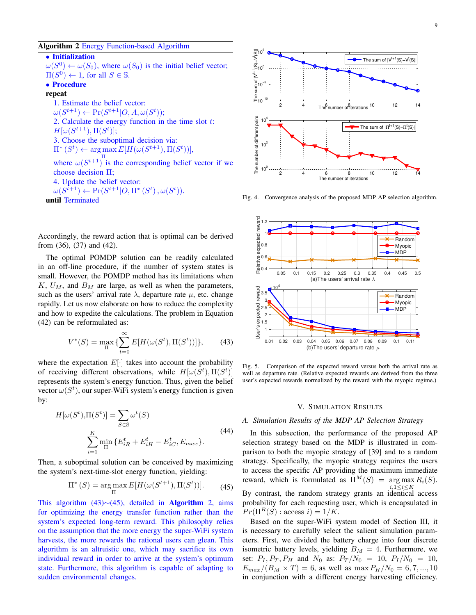#### Algorithm 2 Energy Function-based Algorithm

• Initialization  $\omega(S^0) \leftarrow \omega(S_0)$ , where  $\omega(S_0)$  is the initial belief vector;  $\Pi(S^0) \leftarrow 1$ , for all  $S \in \mathbb{S}$ . • Procedure repeat 1. Estimate the belief vector:  $\omega(S^{t+1}) \leftarrow \Pr(S^{t+1} | O, A, \omega(S^t));$ 2. Calculate the energy function in the time slot  $t$ :  $H[\omega(S^{t+1}), \Pi(S^t)];$ 3. Choose the suboptimal decision via:  $\Pi^* (S^t) \leftarrow \arg \max E[H(\omega(S^{t+1}), \Pi(S^t))],$ where  $\omega(S^{t+1})$  is the corresponding belief vector if we choose decision Π; 4. Update the belief vector:  $\omega(S^{t+1}) \leftarrow \Pr(S^{t+1} | O, \Pi^*(S^t), \omega(S^t)).$ until Terminated

Accordingly, the reward action that is optimal can be derived from (36), (37) and (42).

The optimal POMDP solution can be readily calculated in an off-line procedure, if the number of system states is small. However, the POMDP method has its limitations when  $K, U_M$ , and  $B_M$  are large, as well as when the parameters, such as the users' arrival rate  $\lambda$ , departure rate  $\mu$ , etc. change rapidly. Let us now elaborate on how to reduce the complexity and how to expedite the calculations. The problem in Equation (42) can be reformulated as:

$$
V^*(S) = \max_{\Pi} \{ \sum_{t=0}^{\infty} E[H(\omega(S^t), \Pi(S^t))] \},
$$
 (43)

where the expectation  $E[\cdot]$  takes into account the probability of receiving different observations, while  $H[\omega(S^t), \Pi(S^t)]$ represents the system's energy function. Thus, given the belief vector  $\omega(S^t)$ , our super-WiFi system's energy function is given by:

$$
H[\omega(S^t), \Pi(S^t)] = \sum_{S \in \mathbb{S}} \omega^t(S)
$$
  

$$
\sum_{i=1}^K \min_{\Pi} \{ E_{iR}^t + E_{iH}^t - E_{iC}^t, E_{max} \}.
$$
 (44)

Then, a suboptimal solution can be conceived by maximizing the system's next-time-slot energy function, yielding:

$$
\Pi^*(S) = \underset{\Pi}{\text{arg}\max} E[H(\omega(S^{t+1}), \Pi(S^t))].\tag{45}
$$

This algorithm  $(43)$ ∼ $(45)$ , detailed in **Algorithm** 2, aims for optimizing the energy transfer function rather than the system's expected long-term reward. This philosophy relies on the assumption that the more energy the super-WiFi system harvests, the more rewards the rational users can glean. This algorithm is an altruistic one, which may sacrifice its own individual reward in order to arrive at the system's optimum state. Furthermore, this algorithm is capable of adapting to sudden environmental changes.



Fig. 4. Convergence analysis of the proposed MDP AP selection algorithm.



Fig. 5. Comparison of the expected reward versus both the arrival rate as well as departure rate. (Relative expected rewards are derived from the three user's expected rewards normalized by the reward with the myopic regime.)

### V. SIMULATION RESULTS

#### *A. Simulation Results of the MDP AP Selection Strategy*

In this subsection, the performance of the proposed AP selection strategy based on the MDP is illustrated in comparison to both the myopic strategy of [39] and to a random strategy. Specifically, the myopic strategy requires the users to access the specific AP providing the maximum immediate reward, which is formulated as  $\Pi^M(S) = \arg \max R_i(S)$ .  $i, 1 \leq i \leq K$ By contrast, the random strategy grants an identical access probability for each requesting user, which is encapsulated in  $Pr(\Pi^R(S) : \text{access } i) = 1/K.$ 

Based on the super-WiFi system model of Section III, it is necessary to carefully select the salient simulation parameters. First, we divided the battery charge into four discrete isometric battery levels, yielding  $B_M = 4$ . Furthermore, we set:  $P_I$ ,  $P_T$ ,  $P_H$  and  $N_0$  as:  $P_T/N_0 = 10$ ,  $P_I/N_0 = 10$ ,  $E_{max}/(B_M \times T) = 6$ , as well as max  $P_H/N_0 = 6, 7, ..., 10$ in conjunction with a different energy harvesting efficiency.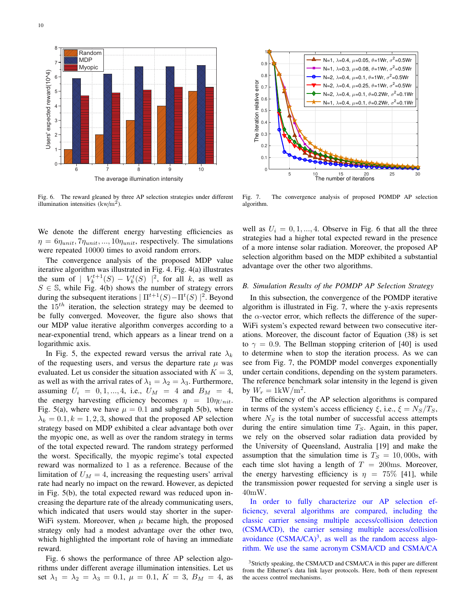

Fig. 6. The reward gleaned by three AP selection strategies under different illumination intensities  $(kw/m^2)$ .

We denote the different energy harvesting efficiencies as  $\eta = 6\eta_{unit}, 7\eta_{unit}, \dots, 10\eta_{unit}$ , respectively. The simulations were repeated 10000 times to avoid random errors.

The convergence analysis of the proposed MDP value iterative algorithm was illustrated in Fig. 4. Fig. 4(a) illustrates the sum of  $|V_k^{t+1}(S) - V_k^t(S)|^2$ , for all k, as well as  $S \in \mathbb{S}$ , while Fig. 4(b) shows the number of strategy errors during the subsequent iterations  $\left| \Pi^{t+1}(S) - \Pi^{t}(S) \right|^{2}$ . Beyond the  $15<sup>th</sup>$  iteration, the selection strategy may be deemed to be fully converged. Moveover, the figure also shows that our MDP value iterative algorithm converges according to a near-exponential trend, which appears as a linear trend on a logarithmic axis.

In Fig. 5, the expected reward versus the arrival rate  $\lambda_k$ of the requesting users, and versus the departure rate  $\mu$  was evaluated. Let us consider the situation associated with  $K = 3$ , as well as with the arrival rates of  $\lambda_1 = \lambda_2 = \lambda_3$ . Furthermore, assuming  $U_i = 0, 1, ..., 4$ , i.e.,  $U_M = 4$  and  $B_M = 4$ , the energy harvesting efficiency becomes  $\eta = 10\eta_{Unit}$ . Fig. 5(a), where we have  $\mu = 0.1$  and subgraph 5(b), where  $\lambda_k = 0.1, k = 1, 2, 3$ , showed that the proposed AP selection strategy based on MDP exhibited a clear advantage both over the myopic one, as well as over the random strategy in terms of the total expected reward. The random strategy performed the worst. Specifically, the myopic regime's total expected reward was normalized to 1 as a reference. Because of the limitation of  $U_M = 4$ , increasing the requesting users' arrival rate had nearly no impact on the reward. However, as depicted in Fig. 5(b), the total expected reward was reduced upon increasing the departure rate of the already communicating users, which indicated that users would stay shorter in the super-WiFi system. Moreover, when  $\mu$  became high, the proposed strategy only had a modest advantage over the other two, which highlighted the important role of having an immediate reward.

Fig. 6 shows the performance of three AP selection algorithms under different average illumination intensities. Let us set  $\lambda_1 = \lambda_2 = \lambda_3 = 0.1$ ,  $\mu = 0.1$ ,  $K = 3$ ,  $B_M = 4$ , as



Fig. 7. The convergence analysis of proposed POMDP AP selection algorithm.

well as  $U_i = 0, 1, ..., 4$ . Observe in Fig. 6 that all the three strategies had a higher total expected reward in the presence of a more intense solar radiation. Moreover, the proposed AP selection algorithm based on the MDP exhibited a substantial advantage over the other two algorithms.

## *B. Simulation Results of the POMDP AP Selection Strategy*

In this subsection, the convergence of the POMDP iterative algorithm is illustrated in Fig. 7, where the y-axis represents the  $\alpha$ -vector error, which reflects the difference of the super-WiFi system's expected reward between two consecutive iterations. Moreover, the discount factor of Equation (38) is set to  $\gamma = 0.9$ . The Bellman stopping criterion of [40] is used to determine when to stop the iteration process. As we can see from Fig. 7, the POMDP model converges exponentially under certain conditions, depending on the system parameters. The reference benchmark solar intensity in the legend is given by  $W_r = 1 \text{kW/m}^2$ .

The efficiency of the AP selection algorithms is compared in terms of the system's access efficiency  $\xi$ , i.e.,  $\xi = N_S/T_S$ , where  $N<sub>S</sub>$  is the total number of successful access attempts during the entire simulation time  $T<sub>S</sub>$ . Again, in this paper, we rely on the observed solar radiation data provided by the University of Queensland, Australia [19] and make the assumption that the simulation time is  $T_S = 10,000$ s, with each time slot having a length of  $T = 200$ ms. Moreover, the energy harvesting efficiency is  $\eta = 75\%$  [41], while the transmission power requested for serving a single user is 40mW.

In order to fully characterize our AP selection efficiency, several algorithms are compared, including the classic carrier sensing multiple access/collision detection (CSMA/CD), the carrier sensing multiple access/collision avoidance  $(CSMA/CA)^3$ , as well as the random access algorithm. We use the same acronym CSMA/CD and CSMA/CA

<sup>&</sup>lt;sup>3</sup>Strictly speaking, the CSMA/CD and CSMA/CA in this paper are different from the Ethernet's data link layer protocols. Here, both of them represent the access control mechanisms.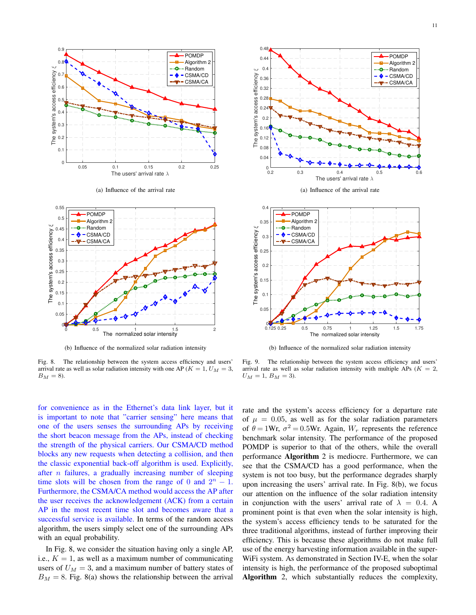

(a) Influence of the arrival rate



(b) Influence of the normalized solar radiation intensity

Fig. 8. The relationship between the system access efficiency and users' arrival rate as well as solar radiation intensity with one AP ( $K = 1$ ,  $U_M = 3$ ,  $B_M = 8$ ).



(b) Influence of the normalized solar radiation intensity

Fig. 9. The relationship between the system access efficiency and users' arrival rate as well as solar radiation intensity with multiple APs ( $K = 2$ ,  $U_M = 1, B_M = 3$ ).

for convenience as in the Ethernet's data link layer, but it is important to note that "carrier sensing" here means that one of the users senses the surrounding APs by receiving the short beacon message from the APs, instead of checking the strength of the physical carriers. Our CSMA/CD method blocks any new requests when detecting a collision, and then the classic exponential back-off algorithm is used. Explicitly, after  $n$  failures, a gradually increasing number of sleeping time slots will be chosen from the range of 0 and  $2^n - 1$ . Furthermore, the CSMA/CA method would access the AP after the user receives the acknowledgement (ACK) from a certain AP in the most recent time slot and becomes aware that a successful service is available. In terms of the random access algorithm, the users simply select one of the surrounding APs with an equal probability.

In Fig. 8, we consider the situation having only a single AP, i.e.,  $K = 1$ , as well as a maximum number of communicating users of  $U_M = 3$ , and a maximum number of battery states of  $B_M = 8$ . Fig. 8(a) shows the relationship between the arrival rate and the system's access efficiency for a departure rate of  $\mu = 0.05$ , as well as for the solar radiation parameters of  $\theta = 1$ Wr,  $\sigma^2 = 0.5$ Wr. Again,  $W_r$  represents the reference benchmark solar intensity. The performance of the proposed POMDP is superior to that of the others, while the overall performance Algorithm 2 is mediocre. Furthermore, we can see that the CSMA/CD has a good performance, when the system is not too busy, but the performance degrades sharply upon increasing the users' arrival rate. In Fig. 8(b), we focus our attention on the influence of the solar radiation intensity in conjunction with the users' arrival rate of  $\lambda = 0.4$ . A prominent point is that even when the solar intensity is high, the system's access efficiency tends to be saturated for the three traditional algorithms, instead of further improving their efficiency. This is because these algorithms do not make full use of the energy harvesting information available in the super-WiFi system. As demonstrated in Section IV-E, when the solar intensity is high, the performance of the proposed suboptimal Algorithm 2, which substantially reduces the complexity,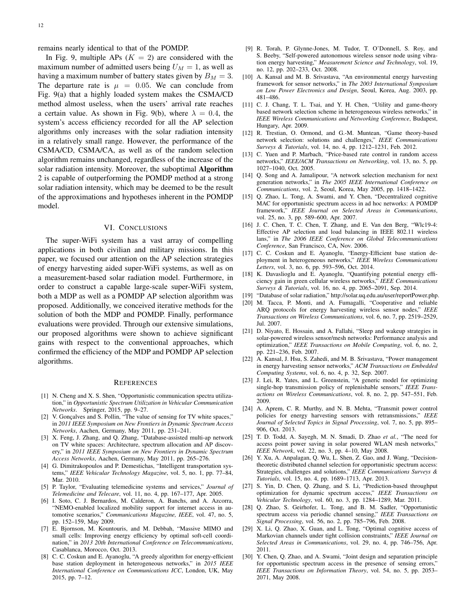remains nearly identical to that of the POMDP.

In Fig. 9, multiple APs  $(K = 2)$  are considered with the maximum number of admitted users being  $U_M = 1$ , as well as having a maximum number of battery states given by  $B_M = 3$ . The departure rate is  $\mu = 0.05$ . We can conclude from Fig. 9(a) that a highly loaded system makes the CSMA/CD method almost useless, when the users' arrival rate reaches a certain value. As shown in Fig. 9(b), where  $\lambda = 0.4$ , the system's access efficiency recorded for all the AP selection algorithms only increases with the solar radiation intensity in a relatively small range. However, the performance of the CSMA/CD, CSMA/CA, as well as of the random selection algorithm remains unchanged, regardless of the increase of the solar radiation intensity. Moreover, the suboptimal Algorithm 2 is capable of outperforming the POMDP method at a strong solar radiation intensity, which may be deemed to be the result of the approximations and hypotheses inherent in the POMDP model.

#### VI. CONCLUSIONS

The super-WiFi system has a vast array of compelling applications in both civilian and military missions. In this paper, we focused our attention on the AP selection strategies of energy harvesting aided super-WiFi systems, as well as on a measurement-based solar radiation model. Furthermore, in order to construct a capable large-scale super-WiFi system, both a MDP as well as a POMDP AP selection algorithm was proposed. Additionally, we conceived iterative methods for the solution of both the MDP and POMDP. Finally, performance evaluations were provided. Through our extensive simulations, our proposed algorithms were shown to achieve significant gains with respect to the conventional approaches, which confirmed the efficiency of the MDP and POMDP AP selection algorithms.

#### **REFERENCES**

- [1] N. Cheng and X. S. Shen, "Opportunistic communication spectra utilization," in *Opportunistic Spectrum Utilization in Vehicular Communication Networks*. Springer, 2015, pp. 9–27.
- [2] V. Gonçalves and S. Pollin, "The value of sensing for TV white spaces," in *2011 IEEE Symposium on New Frontiers in Dynamic Spectrum Access Networks*, Aachen, Germany, May 2011, pp. 231–241.
- [3] X. Feng, J. Zhang, and Q. Zhang, "Database-assisted multi-ap network on TV white spaces: Architecture, spectrum allocation and AP discovery," in *2011 IEEE Symposium on New Frontiers in Dynamic Spectrum Access Networks*, Aachen, Germany, May 2011, pp. 265–276.
- [4] G. Dimitrakopoulos and P. Demestichas, "Intelligent transportation systems," *IEEE Vehicular Technology Magazine*, vol. 5, no. 1, pp. 77–84, Mar. 2010.
- [5] P. Taylor, "Evaluating telemedicine systems and services," *Journal of Telemedicine and Telecare*, vol. 11, no. 4, pp. 167–177, Apr. 2005.
- [6] I. Soto, C. J. Bernardos, M. Calderon, A. Banchs, and A. Azcorra, "NEMO-enabled localized mobility support for internet access in automotive scenarios," *Communications Magazine, IEEE*, vol. 47, no. 5, pp. 152–159, May 2009.
- [7] E. Bjornson, M. Kountouris, and M. Debbah, "Massive MIMO and small cells: Improving energy efficiency by optimal soft-cell coordination," in *2013 20th International Conference on Telecommunications*, Casablanca, Morocco, Oct. 2013.
- [8] C. C. Coskun and E. Ayanoglu, "A greedy algorithm for energy-efficient base station deployment in heterogeneous networks," in *2015 IEEE International Conference on Communications ICC*, London, UK, May 2015, pp. 7–12.
- [9] R. Torah, P. Glynne-Jones, M. Tudor, T. O'Donnell, S. Roy, and S. Beeby, "Self-powered autonomous wireless sensor node using vibration energy harvesting," *Measurement Science and Technology*, vol. 19, no. 12, pp. 202–233, Oct. 2008.
- [10] A. Kansal and M. B. Srivastava, "An environmental energy harvesting framework for sensor networks," in *The 2003 International Symposium on Low Power Electronics and Design*, Seoul, Korea, Aug. 2003, pp. 481–486.
- [11] C. J. Chang, T. L. Tsai, and Y. H. Chen, "Utility and game-theory based network selection scheme in heterogeneous wireless networks," in *IEEE Wireless Communications and Networking Conference*, Budapest, Hungary, Apr. 2009.
- [12] R. Trestian, O. Ormond, and G.-M. Muntean, "Game theory-based network selection: solutions and challenges," *IEEE Communications Surveys & Tutorials*, vol. 14, no. 4, pp. 1212–1231, Feb. 2012.
- [13] C. Yuen and P. Marbach, "Price-based rate control in random access networks," *IEEE/ACM Transactions on Networking*, vol. 13, no. 5, pp. 1027–1040, Oct. 2005.
- [14] Q. Song and A. Jamalipour, "A network selection mechanism for next generation networks," in *The 2005 IEEE International Conference on Communications*, vol. 2, Seoul, Korea, May 2005, pp. 1418–1422.
- [15] Q. Zhao, L. Tong, A. Swami, and Y. Chen, "Decentralized cognitive MAC for opportunistic spectrum access in ad hoc networks: A POMDP framework," *IEEE Journal on Selected Areas in Communications*, vol. 25, no. 3, pp. 589–600, Apr. 2007.
- [16] J. C. Chen, T. C. Chen, T. Zhang, and E. Van den Berg, "Wlc19-4: Effective AP selection and load balancing in IEEE 802.11 wireless lans," in *The 2006 IEEE Conference on Global Telecommunications Conference*, San Francisco, CA, Nov. 2006.
- [17] C. C. Coskun and E. Ayanoglu, "Energy-Efficient base station deployment in heterogeneous networks," *IEEE Wireless Communications Letters*, vol. 3, no. 6, pp. 593–596, Oct. 2014.
- [18] K. Davaslioglu and E. Ayanoglu, "Quantifying potential energy efficiency gain in green cellular wireless networks," *IEEE Communications Surveys & Tutorials*, vol. 16, no. 4, pp. 2065–2091, Sep. 2014.
- [19] "Database of solar radiation," http://solar.uq.edu.au/user/reportPower.php.
- [20] M. Tacca, P. Monti, and A. Fumagalli, "Cooperative and reliable ARQ protocols for energy harvesting wireless sensor nodes," *IEEE Transactions on Wireless Communications*, vol. 6, no. 7, pp. 2519–2529, Jul. 2007.
- [21] D. Niyato, E. Hossain, and A. Fallahi, "Sleep and wakeup strategies in solar-powered wireless sensor/mesh networks: Performance analysis and optimization," *IEEE Transactions on Mobile Computing*, vol. 6, no. 2, pp. 221–236, Feb. 2007.
- [22] A. Kansal, J. Hsu, S. Zahedi, and M. B. Srivastava, "Power management in energy harvesting sensor networks," *ACM Transactions on Embedded Computing Systems*, vol. 6, no. 4, p. 32, Sep. 2007.
- [23] J. Lei, R. Yates, and L. Greenstein, "A generic model for optimizing single-hop transmission policy of replenishable sensors," *IEEE Transactions on Wireless Communications*, vol. 8, no. 2, pp. 547–551, Feb. 2009.
- [24] A. Aprem, C. R. Murthy, and N. B. Mehta, "Transmit power control policies for energy harvesting sensors with retransmissions," *IEEE Journal of Selected Topics in Signal Processing*, vol. 7, no. 5, pp. 895– 906, Oct. 2013.
- [25] T. D. Todd, A. Sayegh, M. N. Smadi, D. Zhao *et al.*, "The need for access point power saving in solar powered WLAN mesh networks," *IEEE Network*, vol. 22, no. 3, pp. 4–10, May 2008.
- [26] Y. Xu, A. Anpalagan, Q. Wu, L. Shen, Z. Gao, and J. Wang, "Decisiontheoretic distributed channel selection for opportunistic spectrum access: Strategies, challenges and solutions," *IEEE Communications Surveys & Tutorials*, vol. 15, no. 4, pp. 1689–1713, Apr. 2013.
- [27] S. Yin, D. Chen, Q. Zhang, and S. Li, "Prediction-based throughput optimization for dynamic spectrum access," *IEEE Transactions on Vehicular Technology*, vol. 60, no. 3, pp. 1284–1289, Mar. 2011.
- [28] Q. Zhao, S. Geirhofer, L. Tong, and B. M. Sadler, "Opportunistic spectrum access via periodic channel sensing," *IEEE Transactions on Signal Processing*, vol. 56, no. 2, pp. 785–796, Feb. 2008.
- [29] X. Li, Q. Zhao, X. Guan, and L. Tong, "Optimal cognitive access of Markovian channels under tight collision constraints," *IEEE Journal on Selected Areas in Communications*, vol. 29, no. 4, pp. 746–756, Apr. 2011.
- [30] Y. Chen, Q. Zhao, and A. Swami, "Joint design and separation principle for opportunistic spectrum access in the presence of sensing errors," *IEEE Transactions on Information Theory*, vol. 54, no. 5, pp. 2053– 2071, May 2008.